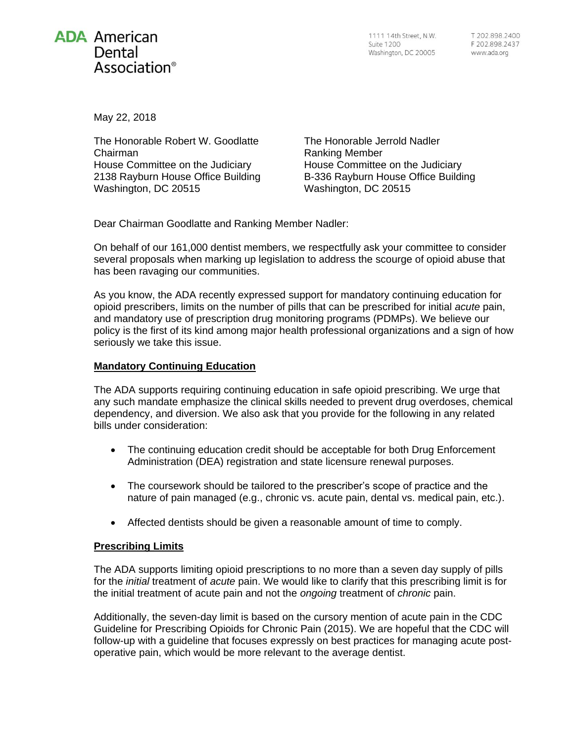

1111 14th Street, N.W. Suite 1200 Washington, DC 20005

May 22, 2018

The Honorable Robert W. Goodlatte Chairman House Committee on the Judiciary 2138 Rayburn House Office Building Washington, DC 20515

The Honorable Jerrold Nadler Ranking Member House Committee on the Judiciary B-336 Rayburn House Office Building Washington, DC 20515

Dear Chairman Goodlatte and Ranking Member Nadler:

On behalf of our 161,000 dentist members, we respectfully ask your committee to consider several proposals when marking up legislation to address the scourge of opioid abuse that has been ravaging our communities.

As you know, the ADA recently expressed support for mandatory continuing education for opioid prescribers, limits on the number of pills that can be prescribed for initial *acute* pain, and mandatory use of prescription drug monitoring programs (PDMPs). We believe our policy is the first of its kind among major health professional organizations and a sign of how seriously we take this issue.

## **Mandatory Continuing Education**

The ADA supports requiring continuing education in safe opioid prescribing. We urge that any such mandate emphasize the clinical skills needed to prevent drug overdoses, chemical dependency, and diversion. We also ask that you provide for the following in any related bills under consideration:

- The continuing education credit should be acceptable for both Drug Enforcement Administration (DEA) registration and state licensure renewal purposes.
- The coursework should be tailored to the prescriber's scope of practice and the nature of pain managed (e.g., chronic vs. acute pain, dental vs. medical pain, etc.).
- Affected dentists should be given a reasonable amount of time to comply.

## **Prescribing Limits**

The ADA supports limiting opioid prescriptions to no more than a seven day supply of pills for the *initial* treatment of *acute* pain. We would like to clarify that this prescribing limit is for the initial treatment of acute pain and not the *ongoing* treatment of *chronic* pain.

Additionally, the seven-day limit is based on the cursory mention of acute pain in the CDC Guideline for Prescribing Opioids for Chronic Pain (2015). We are hopeful that the CDC will follow-up with a guideline that focuses expressly on best practices for managing acute postoperative pain, which would be more relevant to the average dentist.